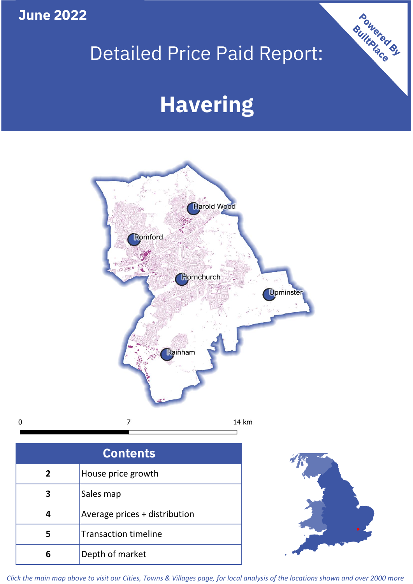**June 2022**

 $\mathbf 0$ 

# Detailed Price Paid Report:

# **Havering**



| <b>Contents</b> |                               |  |  |
|-----------------|-------------------------------|--|--|
| $\overline{2}$  | House price growth            |  |  |
| 3               | Sales map                     |  |  |
|                 | Average prices + distribution |  |  |
|                 | <b>Transaction timeline</b>   |  |  |
|                 | Depth of market               |  |  |



Powered By

*Click the main map above to visit our Cities, Towns & Villages page, for local analysis of the locations shown and over 2000 more*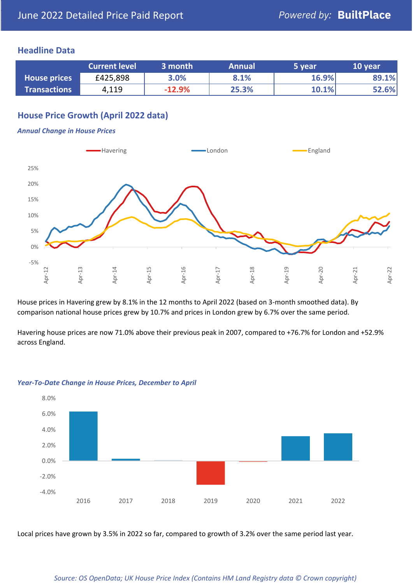## **Headline Data**

|                     | <b>Current level</b> | 3 month  | <b>Annual</b> | 5 year | 10 year |
|---------------------|----------------------|----------|---------------|--------|---------|
| <b>House prices</b> | £425,898             | 3.0%     | 8.1%          | 16.9%  | 89.1%   |
| <b>Transactions</b> | 4,119                | $-12.9%$ | 25.3%         | 10.1%  | 52.6%   |

## **House Price Growth (April 2022 data)**

#### *Annual Change in House Prices*



House prices in Havering grew by 8.1% in the 12 months to April 2022 (based on 3-month smoothed data). By comparison national house prices grew by 10.7% and prices in London grew by 6.7% over the same period.

Havering house prices are now 71.0% above their previous peak in 2007, compared to +76.7% for London and +52.9% across England.



### *Year-To-Date Change in House Prices, December to April*

Local prices have grown by 3.5% in 2022 so far, compared to growth of 3.2% over the same period last year.

### *Source: OS OpenData; UK House Price Index (Contains HM Land Registry data © Crown copyright)*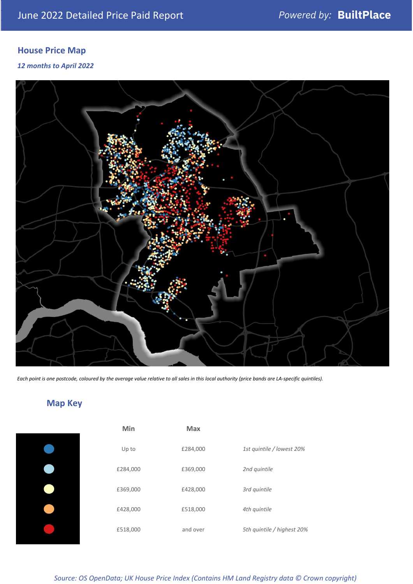# **House Price Map**

*12 months to April 2022*



*Each point is one postcode, coloured by the average value relative to all sales in this local authority (price bands are LA-specific quintiles).*

# **Map Key**

|  | Min      | <b>Max</b> |              |
|--|----------|------------|--------------|
|  | Up to    | £284,000   | 1st quintile |
|  | £284,000 | £369,000   | 2nd quintile |
|  | £369,000 | £428,000   | 3rd quintile |
|  | £428,000 | £518,000   | 4th quintile |
|  | £518,000 | and over   | 5th quintile |
|  |          |            |              |

| Min      | <b>Max</b> |                            |
|----------|------------|----------------------------|
| Up to    | £284,000   | 1st quintile / lowest 20%  |
| £284,000 | £369,000   | 2nd quintile               |
| £369,000 | £428,000   | 3rd quintile               |
| £428,000 | £518,000   | 4th quintile               |
| £518,000 | and over   | 5th quintile / highest 20% |

*Source: OS OpenData; UK House Price Index (Contains HM Land Registry data © Crown copyright)*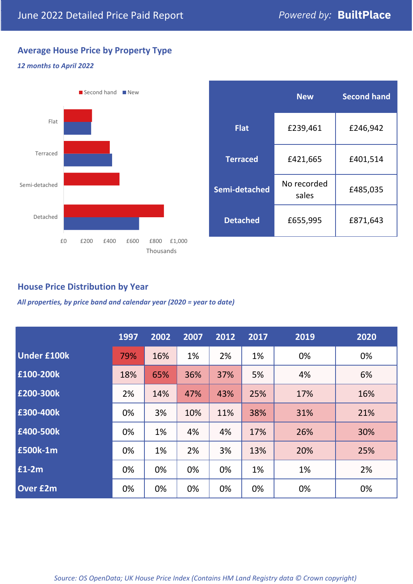## **Average House Price by Property Type**

### *12 months to April 2022*



|                 | <b>New</b>           | <b>Second hand</b> |  |
|-----------------|----------------------|--------------------|--|
| <b>Flat</b>     | £239,461             | £246,942           |  |
| <b>Terraced</b> | £421,665             | £401,514           |  |
| Semi-detached   | No recorded<br>sales | £485,035           |  |
| <b>Detached</b> | £655,995             | £871,643           |  |

## **House Price Distribution by Year**

*All properties, by price band and calendar year (2020 = year to date)*

|                    | 1997 | 2002 | 2007 | 2012 | 2017 | 2019 | 2020 |
|--------------------|------|------|------|------|------|------|------|
| <b>Under £100k</b> | 79%  | 16%  | 1%   | 2%   | 1%   | 0%   | 0%   |
| £100-200k          | 18%  | 65%  | 36%  | 37%  | 5%   | 4%   | 6%   |
| E200-300k          | 2%   | 14%  | 47%  | 43%  | 25%  | 17%  | 16%  |
| £300-400k          | 0%   | 3%   | 10%  | 11%  | 38%  | 31%  | 21%  |
| £400-500k          | 0%   | 1%   | 4%   | 4%   | 17%  | 26%  | 30%  |
| <b>£500k-1m</b>    | 0%   | 1%   | 2%   | 3%   | 13%  | 20%  | 25%  |
| £1-2m              | 0%   | 0%   | 0%   | 0%   | 1%   | 1%   | 2%   |
| <b>Over £2m</b>    | 0%   | 0%   | 0%   | 0%   | 0%   | 0%   | 0%   |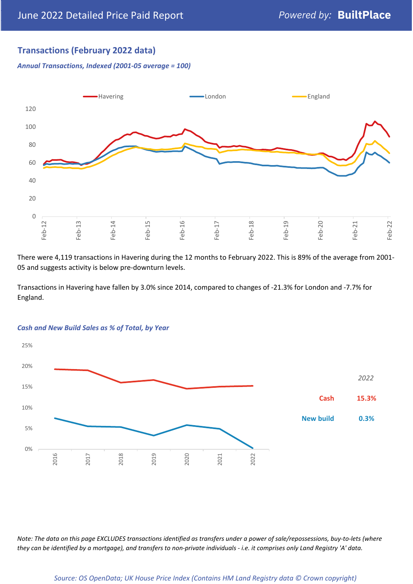## **Transactions (February 2022 data)**

*Annual Transactions, Indexed (2001-05 average = 100)*



There were 4,119 transactions in Havering during the 12 months to February 2022. This is 89% of the average from 2001- 05 and suggests activity is below pre-downturn levels.

Transactions in Havering have fallen by 3.0% since 2014, compared to changes of -21.3% for London and -7.7% for England.



#### *Cash and New Build Sales as % of Total, by Year*

*Note: The data on this page EXCLUDES transactions identified as transfers under a power of sale/repossessions, buy-to-lets (where they can be identified by a mortgage), and transfers to non-private individuals - i.e. it comprises only Land Registry 'A' data.*